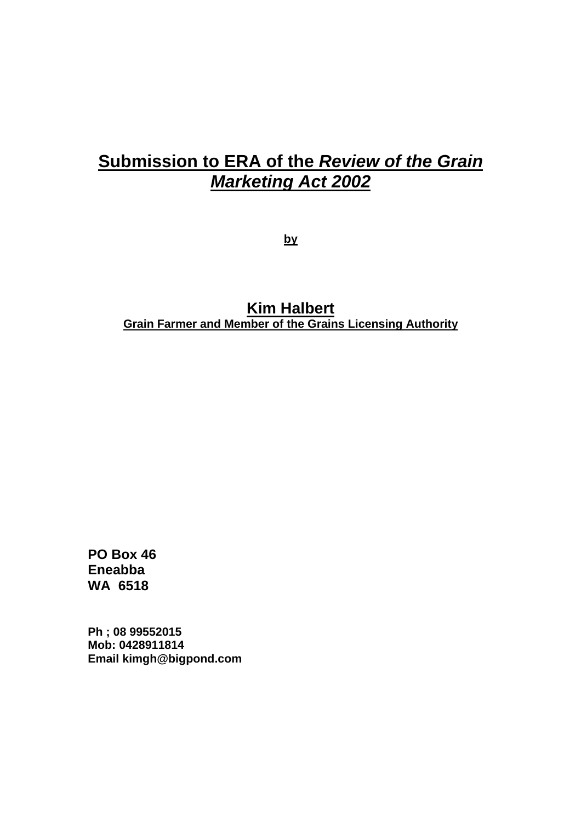# **Submission to ERA of the** *Review of the Grain Marketing Act 2002*

**by**

**Kim Halbert Grain Farmer and Member of the Grains Licensing Authority**

**PO Box 46 Eneabba WA 6518** 

**Ph ; 08 99552015 Mob: 0428911814 Email kimgh@bigpond.com**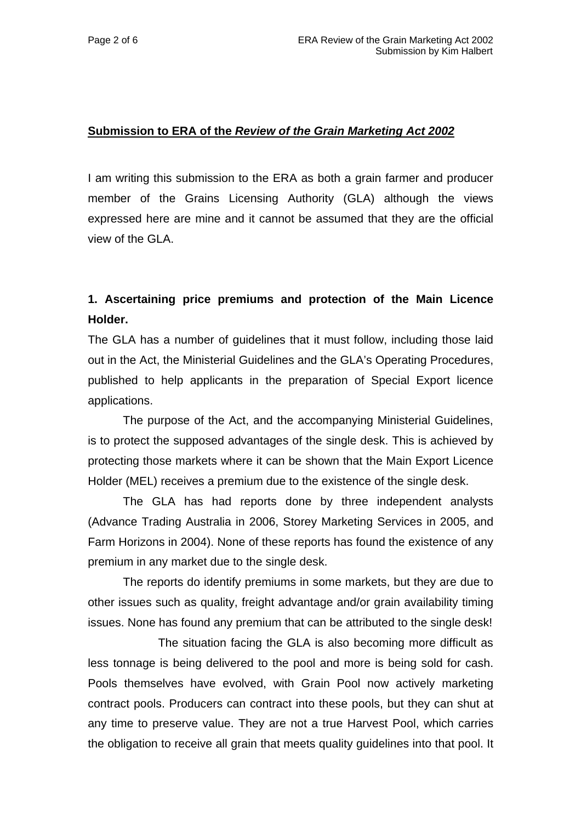### **Submission to ERA of the** *Review of the Grain Marketing Act 2002*

I am writing this submission to the ERA as both a grain farmer and producer member of the Grains Licensing Authority (GLA) although the views expressed here are mine and it cannot be assumed that they are the official view of the GLA.

# **1. Ascertaining price premiums and protection of the Main Licence Holder.**

The GLA has a number of guidelines that it must follow, including those laid out in the Act, the Ministerial Guidelines and the GLA's Operating Procedures, published to help applicants in the preparation of Special Export licence applications.

 The purpose of the Act, and the accompanying Ministerial Guidelines, is to protect the supposed advantages of the single desk. This is achieved by protecting those markets where it can be shown that the Main Export Licence Holder (MEL) receives a premium due to the existence of the single desk.

 The GLA has had reports done by three independent analysts (Advance Trading Australia in 2006, Storey Marketing Services in 2005, and Farm Horizons in 2004). None of these reports has found the existence of any premium in any market due to the single desk.

The reports do identify premiums in some markets, but they are due to other issues such as quality, freight advantage and/or grain availability timing issues. None has found any premium that can be attributed to the single desk!

 The situation facing the GLA is also becoming more difficult as less tonnage is being delivered to the pool and more is being sold for cash. Pools themselves have evolved, with Grain Pool now actively marketing contract pools. Producers can contract into these pools, but they can shut at any time to preserve value. They are not a true Harvest Pool, which carries the obligation to receive all grain that meets quality guidelines into that pool. It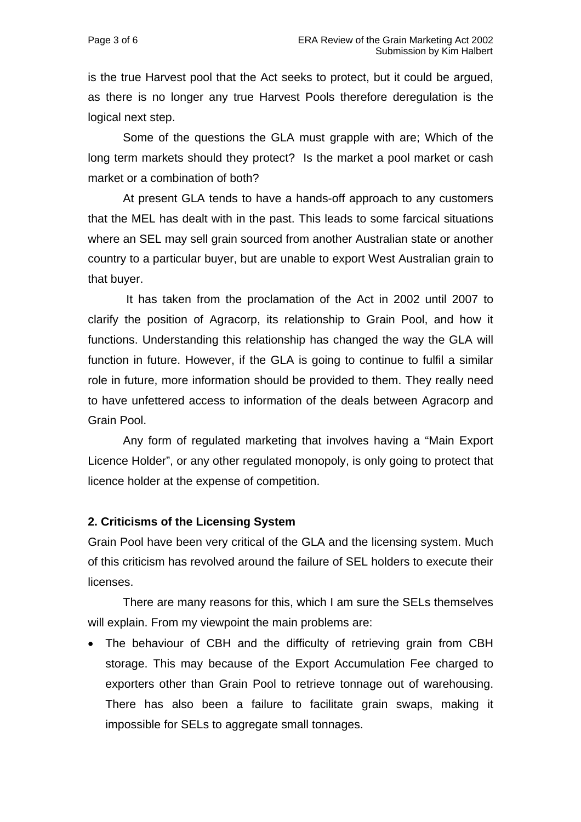is the true Harvest pool that the Act seeks to protect, but it could be argued, as there is no longer any true Harvest Pools therefore deregulation is the logical next step.

Some of the questions the GLA must grapple with are; Which of the long term markets should they protect? Is the market a pool market or cash market or a combination of both?

 At present GLA tends to have a hands-off approach to any customers that the MEL has dealt with in the past. This leads to some farcical situations where an SEL may sell grain sourced from another Australian state or another country to a particular buyer, but are unable to export West Australian grain to that buyer.

 It has taken from the proclamation of the Act in 2002 until 2007 to clarify the position of Agracorp, its relationship to Grain Pool, and how it functions. Understanding this relationship has changed the way the GLA will function in future. However, if the GLA is going to continue to fulfil a similar role in future, more information should be provided to them. They really need to have unfettered access to information of the deals between Agracorp and Grain Pool.

 Any form of regulated marketing that involves having a "Main Export Licence Holder", or any other regulated monopoly, is only going to protect that licence holder at the expense of competition.

#### **2. Criticisms of the Licensing System**

Grain Pool have been very critical of the GLA and the licensing system. Much of this criticism has revolved around the failure of SEL holders to execute their licenses.

 There are many reasons for this, which I am sure the SELs themselves will explain. From my viewpoint the main problems are:

• The behaviour of CBH and the difficulty of retrieving grain from CBH storage. This may because of the Export Accumulation Fee charged to exporters other than Grain Pool to retrieve tonnage out of warehousing. There has also been a failure to facilitate grain swaps, making it impossible for SELs to aggregate small tonnages.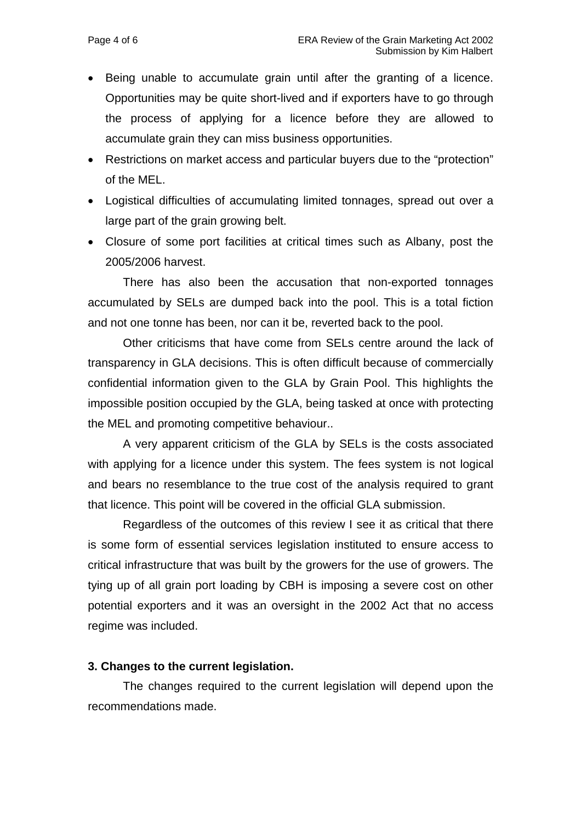- Being unable to accumulate grain until after the granting of a licence. Opportunities may be quite short-lived and if exporters have to go through the process of applying for a licence before they are allowed to accumulate grain they can miss business opportunities.
- Restrictions on market access and particular buyers due to the "protection" of the MEL.
- Logistical difficulties of accumulating limited tonnages, spread out over a large part of the grain growing belt.
- Closure of some port facilities at critical times such as Albany, post the 2005/2006 harvest.

There has also been the accusation that non-exported tonnages accumulated by SELs are dumped back into the pool. This is a total fiction and not one tonne has been, nor can it be, reverted back to the pool.

Other criticisms that have come from SELs centre around the lack of transparency in GLA decisions. This is often difficult because of commercially confidential information given to the GLA by Grain Pool. This highlights the impossible position occupied by the GLA, being tasked at once with protecting the MEL and promoting competitive behaviour..

 A very apparent criticism of the GLA by SELs is the costs associated with applying for a licence under this system. The fees system is not logical and bears no resemblance to the true cost of the analysis required to grant that licence. This point will be covered in the official GLA submission.

Regardless of the outcomes of this review I see it as critical that there is some form of essential services legislation instituted to ensure access to critical infrastructure that was built by the growers for the use of growers. The tying up of all grain port loading by CBH is imposing a severe cost on other potential exporters and it was an oversight in the 2002 Act that no access regime was included.

#### **3. Changes to the current legislation.**

The changes required to the current legislation will depend upon the recommendations made.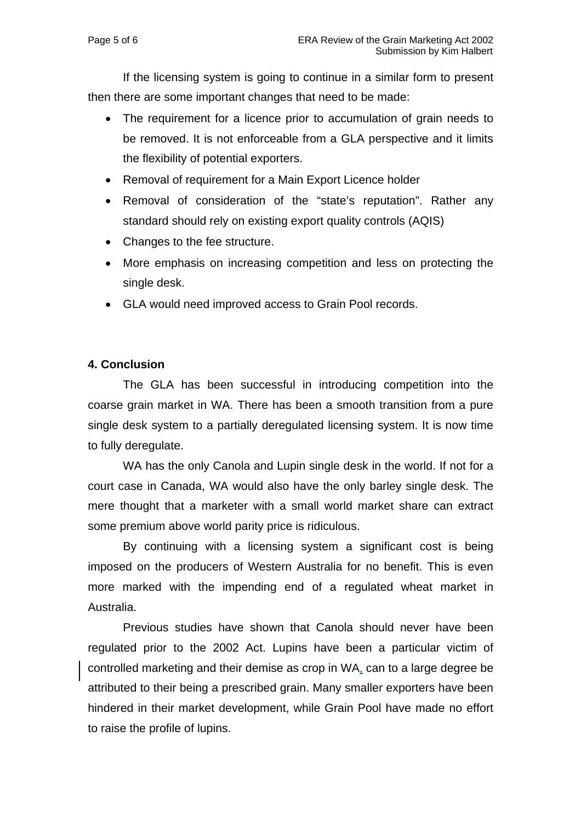If the licensing system is going to continue in a similar form to present then there are some important changes that need to be made:

- The requirement for a licence prior to accumulation of grain needs to be removed. It is not enforceable from a GLA perspective and it limits the flexibility of potential exporters.
- Removal of requirement for a Main Export Licence holder
- Removal of consideration of the "state's reputation". Rather any standard should rely on existing export quality controls (AQIS)
- Changes to the fee structure.
- More emphasis on increasing competition and less on protecting the single desk.
- GLA would need improved access to Grain Pool records.

## **4. Conclusion**

The GLA has been successful in introducing competition into the coarse grain market in WA. There has been a smooth transition from a pure single desk system to a partially deregulated licensing system. It is now time to fully deregulate.

WA has the only Canola and Lupin single desk in the world. If not for a court case in Canada, WA would also have the only barley single desk. The mere thought that a marketer with a small world market share can extract some premium above world parity price is ridiculous.

 By continuing with a licensing system a significant cost is being imposed on the producers of Western Australia for no benefit. This is even more marked with the impending end of a regulated wheat market in Australia.

 Previous studies have shown that Canola should never have been regulated prior to the 2002 Act. Lupins have been a particular victim of controlled marketing and their demise as crop in WA, can to a large degree be attributed to their being a prescribed grain. Many smaller exporters have been hindered in their market development, while Grain Pool have made no effort to raise the profile of lupins.